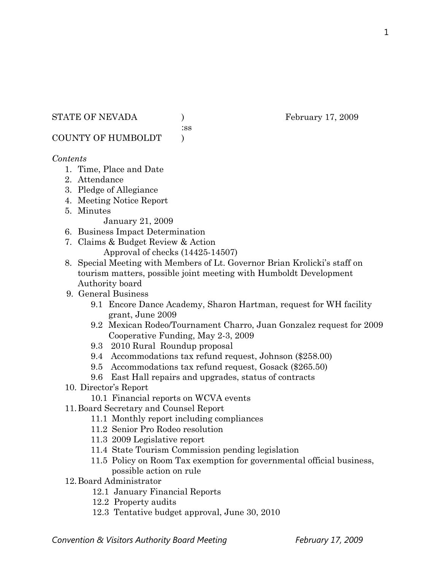STATE OF NEVADA ) February 17, 2009

:ss

COUNTY OF HUMBOLDT )

# *Contents*

- 1. Time, Place and Date
- 2. Attendance
- 3. Pledge of Allegiance
- 4. Meeting Notice Report
- 5. Minutes

January 21, 2009

- 6. Business Impact Determination
- 7. Claims & Budget Review & Action
	- Approval of checks (14425-14507)
- 8. Special Meeting with Members of Lt. Governor Brian Krolicki's staff on tourism matters, possible joint meeting with Humboldt Development Authority board
- 9. General Business
	- 9.1 Encore Dance Academy, Sharon Hartman, request for WH facility grant, June 2009
	- 9.2 Mexican Rodeo/Tournament Charro, Juan Gonzalez request for 2009 Cooperative Funding, May 2-3, 2009
	- 9.3 2010 Rural Roundup proposal
	- 9.4 Accommodations tax refund request, Johnson (\$258.00)
	- 9.5 Accommodations tax refund request, Gosack (\$265.50)
	- 9.6 East Hall repairs and upgrades, status of contracts
- 10. Director's Report
	- 10.1 Financial reports on WCVA events
- 11.Board Secretary and Counsel Report
	- 11.1 Monthly report including compliances
	- 11.2 Senior Pro Rodeo resolution
	- 11.3 2009 Legislative report
	- 11.4 State Tourism Commission pending legislation
	- 11.5 Policy on Room Tax exemption for governmental official business, possible action on rule
- 12.Board Administrator
	- 12.1 January Financial Reports
	- 12.2 Property audits
	- 12.3 Tentative budget approval, June 30, 2010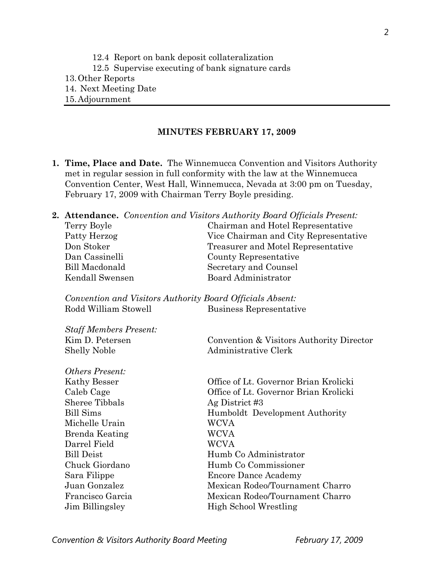12.4 Report on bank deposit collateralization

- 12.5 Supervise executing of bank signature cards
- 13.Other Reports
- 14. Next Meeting Date
- 15.Adjournment

# **MINUTES FEBRUARY 17, 2009**

**1. Time, Place and Date.** The Winnemucca Convention and Visitors Authority met in regular session in full conformity with the law at the Winnemucca Convention Center, West Hall, Winnemucca, Nevada at 3:00 pm on Tuesday, February 17, 2009 with Chairman Terry Boyle presiding.

|                 | <b>2. Attendance.</b> Convention and Visitors Authority Board Officials Present: |
|-----------------|----------------------------------------------------------------------------------|
| Terry Boyle     | Chairman and Hotel Representative                                                |
| Patty Herzog    | Vice Chairman and City Representative                                            |
| Don Stoker      | Treasurer and Motel Representative                                               |
| Dan Cassinelli  | County Representative                                                            |
| Bill Macdonald  | Secretary and Counsel                                                            |
| Kendall Swensen | Board Administrator                                                              |
|                 |                                                                                  |

*Convention and Visitors Authority Board Officials Absent:*  Rodd William Stowell Business Representative

| <b>Staff Members Present:</b> |                                          |
|-------------------------------|------------------------------------------|
| Kim D. Petersen               | Convention & Visitors Authority Director |
| <b>Shelly Noble</b>           | Administrative Clerk                     |

| <i><b>Others Present:</b></i> |  |  |
|-------------------------------|--|--|
| Kathy Besser                  |  |  |
| Caleb Cage                    |  |  |
| Sheree Tibbals                |  |  |
| <b>Bill Sims</b>              |  |  |
| Michelle Urain                |  |  |
| Brenda Keating                |  |  |
| Darrel Field                  |  |  |
| <b>Bill Deist</b>             |  |  |
| Chuck Giordano                |  |  |
| Sara Filippe                  |  |  |
| Juan Gonzalez                 |  |  |
| Francisco Garcia              |  |  |
| Jim Billingsley               |  |  |

Office of Lt. Governor Brian Krolicki Office of Lt. Governor Brian Krolicki Ag District #3 Humboldt Development Authority WCVA WCVA WCVA Humb Co Administrator Humb Co Commissioner Encore Dance Academy Mexican Rodeo/Tournament Charro Mexican Rodeo/Tournament Charro High School Wrestling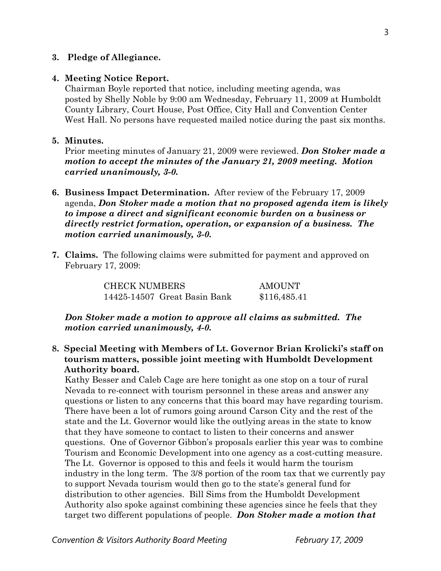# **3. Pledge of Allegiance.**

### **4. Meeting Notice Report.**

Chairman Boyle reported that notice, including meeting agenda, was posted by Shelly Noble by 9:00 am Wednesday, February 11, 2009 at Humboldt County Library, Court House, Post Office, City Hall and Convention Center West Hall. No persons have requested mailed notice during the past six months.

## **5. Minutes.**

Prior meeting minutes of January 21, 2009 were reviewed. *Don Stoker made a motion to accept the minutes of the January 21, 2009 meeting. Motion carried unanimously, 3-0.* 

- **6. Business Impact Determination.** After review of the February 17, 2009 agenda, *Don Stoker made a motion that no proposed agenda item is likely to impose a direct and significant economic burden on a business or directly restrict formation, operation, or expansion of a business. The motion carried unanimously, 3-0.*
- **7. Claims.** The following claims were submitted for payment and approved on February 17, 2009:

CHECK NUMBERS AMOUNT 14425-14507 Great Basin Bank \$116,485.41

*Don Stoker made a motion to approve all claims as submitted. The motion carried unanimously, 4-0.* 

**8. Special Meeting with Members of Lt. Governor Brian Krolicki's staff on tourism matters, possible joint meeting with Humboldt Development Authority board.** 

Kathy Besser and Caleb Cage are here tonight as one stop on a tour of rural Nevada to re-connect with tourism personnel in these areas and answer any questions or listen to any concerns that this board may have regarding tourism. There have been a lot of rumors going around Carson City and the rest of the state and the Lt. Governor would like the outlying areas in the state to know that they have someone to contact to listen to their concerns and answer questions. One of Governor Gibbon's proposals earlier this year was to combine Tourism and Economic Development into one agency as a cost-cutting measure. The Lt. Governor is opposed to this and feels it would harm the tourism industry in the long term. The 3/8 portion of the room tax that we currently pay to support Nevada tourism would then go to the state's general fund for distribution to other agencies. Bill Sims from the Humboldt Development Authority also spoke against combining these agencies since he feels that they target two different populations of people. *Don Stoker made a motion that* 

*Convention & Visitors Authority Board Meeting February 17, 2009*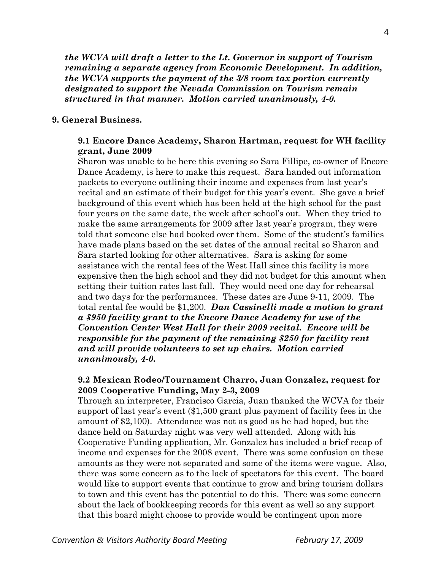*the WCVA will draft a letter to the Lt. Governor in support of Tourism remaining a separate agency from Economic Development. In addition, the WCVA supports the payment of the 3/8 room tax portion currently designated to support the Nevada Commission on Tourism remain structured in that manner. Motion carried unanimously, 4-0.* 

### **9. General Business.**

# **9.1 Encore Dance Academy, Sharon Hartman, request for WH facility grant, June 2009**

Sharon was unable to be here this evening so Sara Fillipe, co-owner of Encore Dance Academy, is here to make this request. Sara handed out information packets to everyone outlining their income and expenses from last year's recital and an estimate of their budget for this year's event. She gave a brief background of this event which has been held at the high school for the past four years on the same date, the week after school's out. When they tried to make the same arrangements for 2009 after last year's program, they were told that someone else had booked over them. Some of the student's families have made plans based on the set dates of the annual recital so Sharon and Sara started looking for other alternatives. Sara is asking for some assistance with the rental fees of the West Hall since this facility is more expensive then the high school and they did not budget for this amount when setting their tuition rates last fall. They would need one day for rehearsal and two days for the performances. These dates are June 9-11, 2009. The total rental fee would be \$1,200. *Dan Cassinelli made a motion to grant a \$950 facility grant to the Encore Dance Academy for use of the Convention Center West Hall for their 2009 recital. Encore will be responsible for the payment of the remaining \$250 for facility rent and will provide volunteers to set up chairs. Motion carried unanimously, 4-0.* 

# **9.2 Mexican Rodeo/Tournament Charro, Juan Gonzalez, request for 2009 Cooperative Funding, May 2-3, 2009**

Through an interpreter, Francisco Garcia, Juan thanked the WCVA for their support of last year's event (\$1,500 grant plus payment of facility fees in the amount of \$2,100). Attendance was not as good as he had hoped, but the dance held on Saturday night was very well attended. Along with his Cooperative Funding application, Mr. Gonzalez has included a brief recap of income and expenses for the 2008 event. There was some confusion on these amounts as they were not separated and some of the items were vague. Also, there was some concern as to the lack of spectators for this event. The board would like to support events that continue to grow and bring tourism dollars to town and this event has the potential to do this. There was some concern about the lack of bookkeeping records for this event as well so any support that this board might choose to provide would be contingent upon more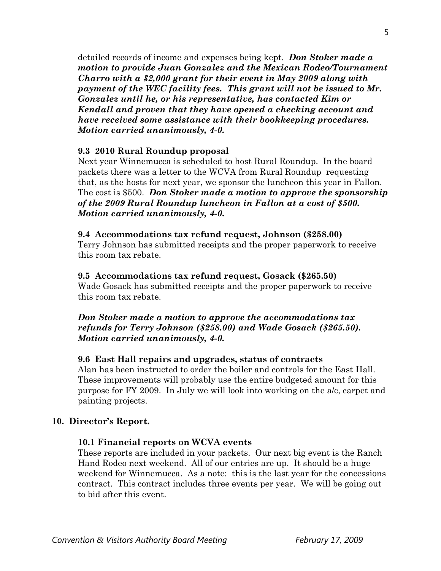detailed records of income and expenses being kept. *Don Stoker made a motion to provide Juan Gonzalez and the Mexican Rodeo/Tournament Charro with a \$2,000 grant for their event in May 2009 along with payment of the WEC facility fees. This grant will not be issued to Mr. Gonzalez until he, or his representative, has contacted Kim or Kendall and proven that they have opened a checking account and have received some assistance with their bookkeeping procedures. Motion carried unanimously, 4-0.* 

## **9.3 2010 Rural Roundup proposal**

Next year Winnemucca is scheduled to host Rural Roundup. In the board packets there was a letter to the WCVA from Rural Roundup requesting that, as the hosts for next year, we sponsor the luncheon this year in Fallon. The cost is \$500. *Don Stoker made a motion to approve the sponsorship of the 2009 Rural Roundup luncheon in Fallon at a cost of \$500. Motion carried unanimously, 4-0.* 

### **9.4 Accommodations tax refund request, Johnson (\$258.00)**

Terry Johnson has submitted receipts and the proper paperwork to receive this room tax rebate.

## **9.5 Accommodations tax refund request, Gosack (\$265.50)**

Wade Gosack has submitted receipts and the proper paperwork to receive this room tax rebate.

# *Don Stoker made a motion to approve the accommodations tax refunds for Terry Johnson (\$258.00) and Wade Gosack (\$265.50). Motion carried unanimously, 4-0.*

## **9.6 East Hall repairs and upgrades, status of contracts**

Alan has been instructed to order the boiler and controls for the East Hall. These improvements will probably use the entire budgeted amount for this purpose for FY 2009. In July we will look into working on the a/c, carpet and painting projects.

## **10. Director's Report.**

## **10.1 Financial reports on WCVA events**

These reports are included in your packets. Our next big event is the Ranch Hand Rodeo next weekend. All of our entries are up. It should be a huge weekend for Winnemucca. As a note: this is the last year for the concessions contract. This contract includes three events per year. We will be going out to bid after this event.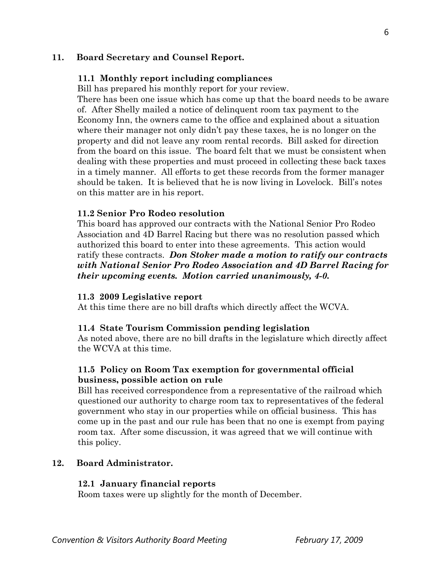# **11. Board Secretary and Counsel Report.**

## **11.1 Monthly report including compliances**

Bill has prepared his monthly report for your review.

There has been one issue which has come up that the board needs to be aware of. After Shelly mailed a notice of delinquent room tax payment to the Economy Inn, the owners came to the office and explained about a situation where their manager not only didn't pay these taxes, he is no longer on the property and did not leave any room rental records. Bill asked for direction from the board on this issue. The board felt that we must be consistent when dealing with these properties and must proceed in collecting these back taxes in a timely manner. All efforts to get these records from the former manager should be taken. It is believed that he is now living in Lovelock. Bill's notes on this matter are in his report.

### **11.2 Senior Pro Rodeo resolution**

This board has approved our contracts with the National Senior Pro Rodeo Association and 4D Barrel Racing but there was no resolution passed which authorized this board to enter into these agreements. This action would ratify these contracts. *Don Stoker made a motion to ratify our contracts with National Senior Pro Rodeo Association and 4D Barrel Racing for their upcoming events. Motion carried unanimously, 4-0.* 

### **11.3 2009 Legislative report**

At this time there are no bill drafts which directly affect the WCVA.

#### **11.4 State Tourism Commission pending legislation**

 As noted above, there are no bill drafts in the legislature which directly affect the WCVA at this time.

# **11.5 Policy on Room Tax exemption for governmental official business, possible action on rule**

 Bill has received correspondence from a representative of the railroad which questioned our authority to charge room tax to representatives of the federal government who stay in our properties while on official business. This has come up in the past and our rule has been that no one is exempt from paying room tax. After some discussion, it was agreed that we will continue with this policy.

## **12. Board Administrator.**

### **12.1 January financial reports**

Room taxes were up slightly for the month of December.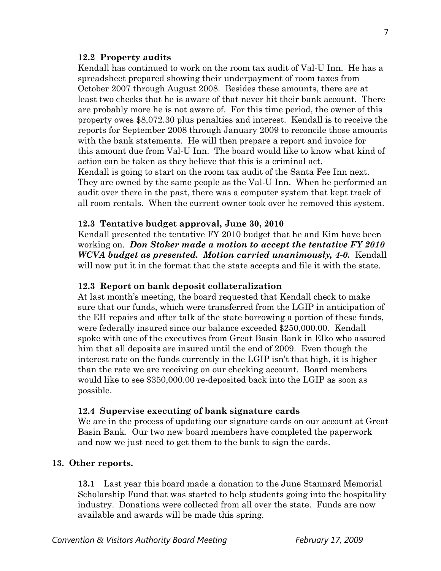## **12.2 Property audits**

 Kendall has continued to work on the room tax audit of Val-U Inn. He has a spreadsheet prepared showing their underpayment of room taxes from October 2007 through August 2008. Besides these amounts, there are at least two checks that he is aware of that never hit their bank account. There are probably more he is not aware of. For this time period, the owner of this property owes \$8,072.30 plus penalties and interest. Kendall is to receive the reports for September 2008 through January 2009 to reconcile those amounts with the bank statements. He will then prepare a report and invoice for this amount due from Val-U Inn. The board would like to know what kind of action can be taken as they believe that this is a criminal act. Kendall is going to start on the room tax audit of the Santa Fee Inn next. They are owned by the same people as the Val-U Inn. When he performed an

 audit over there in the past, there was a computer system that kept track of all room rentals. When the current owner took over he removed this system.

### **12.3 Tentative budget approval, June 30, 2010**

 Kendall presented the tentative FY 2010 budget that he and Kim have been working on. *Don Stoker made a motion to accept the tentative FY 2010 WCVA budget as presented. Motion carried unanimously, 4-0.* Kendall will now put it in the format that the state accepts and file it with the state.

### **12.3 Report on bank deposit collateralization**

At last month's meeting, the board requested that Kendall check to make sure that our funds, which were transferred from the LGIP in anticipation of the EH repairs and after talk of the state borrowing a portion of these funds, were federally insured since our balance exceeded \$250,000.00. Kendall spoke with one of the executives from Great Basin Bank in Elko who assured him that all deposits are insured until the end of 2009. Even though the interest rate on the funds currently in the LGIP isn't that high, it is higher than the rate we are receiving on our checking account. Board members would like to see \$350,000.00 re-deposited back into the LGIP as soon as possible.

#### **12.4 Supervise executing of bank signature cards**

We are in the process of updating our signature cards on our account at Great Basin Bank. Our two new board members have completed the paperwork and now we just need to get them to the bank to sign the cards.

# **13. Other reports.**

 **13.1** Last year this board made a donation to the June Stannard Memorial Scholarship Fund that was started to help students going into the hospitality industry. Donations were collected from all over the state. Funds are now available and awards will be made this spring.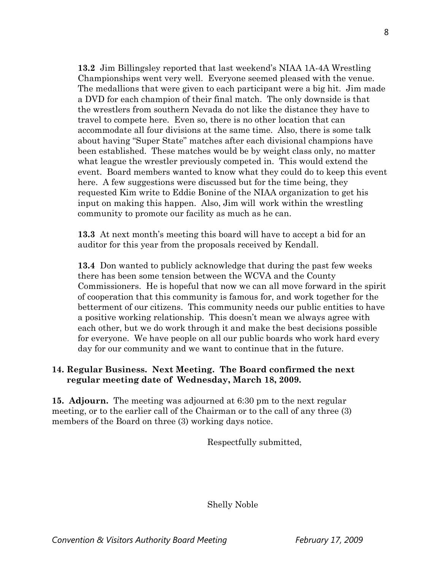**13.2** Jim Billingsley reported that last weekend's NIAA 1A-4A Wrestling Championships went very well. Everyone seemed pleased with the venue. The medallions that were given to each participant were a big hit. Jim made a DVD for each champion of their final match. The only downside is that the wrestlers from southern Nevada do not like the distance they have to travel to compete here. Even so, there is no other location that can accommodate all four divisions at the same time. Also, there is some talk about having "Super State" matches after each divisional champions have been established. These matches would be by weight class only, no matter what league the wrestler previously competed in. This would extend the event. Board members wanted to know what they could do to keep this event here. A few suggestions were discussed but for the time being, they requested Kim write to Eddie Bonine of the NIAA organization to get his input on making this happen. Also, Jim will work within the wrestling community to promote our facility as much as he can.

**13.3** At next month's meeting this board will have to accept a bid for an auditor for this year from the proposals received by Kendall.

**13.4** Don wanted to publicly acknowledge that during the past few weeks there has been some tension between the WCVA and the County Commissioners. He is hopeful that now we can all move forward in the spirit of cooperation that this community is famous for, and work together for the betterment of our citizens. This community needs our public entities to have a positive working relationship. This doesn't mean we always agree with each other, but we do work through it and make the best decisions possible for everyone. We have people on all our public boards who work hard every day for our community and we want to continue that in the future.

# **14. Regular Business. Next Meeting. The Board confirmed the next regular meeting date of Wednesday, March 18, 2009.**

**15. Adjourn.** The meeting was adjourned at 6:30 pm to the next regular meeting, or to the earlier call of the Chairman or to the call of any three (3) members of the Board on three (3) working days notice.

Respectfully submitted,

Shelly Noble